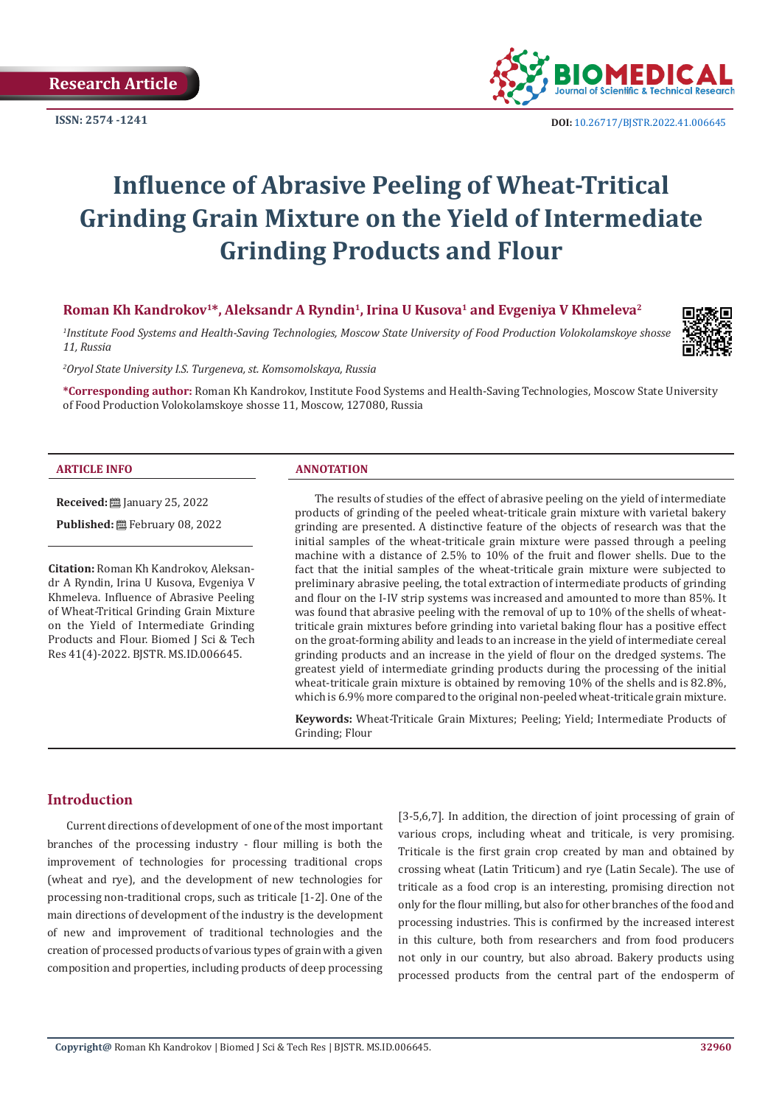

**ISSN:** 2574 -1241 **DOI:** [10.26717/BJSTR.2022.41.006645](https://dx.doi.org/10.26717/BJSTR.2022.41.006645)

# **Influence of Abrasive Peeling of Wheat-Tritical Grinding Grain Mixture on the Yield of Intermediate Grinding Products and Flour**

## **Roman Kh Kandrokov<sup>1</sup>\*, Aleksandr A Ryndin<sup>1</sup>, Irina U Kusova<sup>1</sup> and Evgeniya V Khmeleva<sup>2</sup>**

*1 Institute Food Systems and Health-Saving Technologies, Moscow State University of Food Production Volokolamskoye shosse 11, Russia*



*2 Oryol State University I.S. Turgeneva, st. Komsomolskaya, Russia*

**\*Corresponding author:** Roman Kh Kandrokov, Institute Food Systems and Health-Saving Technologies, Moscow State University of Food Production Volokolamskoye shosse 11, Moscow, 127080, Russia

#### **ARTICLE INFO ANNOTATION**

**Received:** January 25, 2022

Published: **■**February 08, 2022

**Citation:** Roman Kh Kandrokov, Aleksandr A Ryndin, Irina U Kusova, Evgeniya V Khmeleva. Influence of Abrasive Peeling of Wheat-Tritical Grinding Grain Mixture on the Yield of Intermediate Grinding Products and Flour. Biomed J Sci & Tech Res 41(4)-2022. BJSTR. MS.ID.006645.

The results of studies of the effect of abrasive peeling on the yield of intermediate products of grinding of the peeled wheat-triticale grain mixture with varietal bakery grinding are presented. A distinctive feature of the objects of research was that the initial samples of the wheat-triticale grain mixture were passed through a peeling machine with a distance of 2.5% to 10% of the fruit and flower shells. Due to the fact that the initial samples of the wheat-triticale grain mixture were subjected to preliminary abrasive peeling, the total extraction of intermediate products of grinding and flour on the I-IV strip systems was increased and amounted to more than 85%. It was found that abrasive peeling with the removal of up to 10% of the shells of wheattriticale grain mixtures before grinding into varietal baking flour has a positive effect on the groat-forming ability and leads to an increase in the yield of intermediate cereal grinding products and an increase in the yield of flour on the dredged systems. The greatest yield of intermediate grinding products during the processing of the initial wheat-triticale grain mixture is obtained by removing 10% of the shells and is 82.8%, which is 6.9% more compared to the original non-peeled wheat-triticale grain mixture.

**Keywords:** Wheat-Triticale Grain Mixtures; Peeling; Yield; Intermediate Products of Grinding; Flour

#### **Introduction**

Current directions of development of one of the most important branches of the processing industry - flour milling is both the improvement of technologies for processing traditional crops (wheat and rye), and the development of new technologies for processing non-traditional crops, such as triticale [1-2]. One of the main directions of development of the industry is the development of new and improvement of traditional technologies and the creation of processed products of various types of grain with a given composition and properties, including products of deep processing [3-5,6,7]. In addition, the direction of joint processing of grain of various crops, including wheat and triticale, is very promising. Triticale is the first grain crop created by man and obtained by crossing wheat (Latin Triticum) and rye (Latin Secale). The use of triticale as a food crop is an interesting, promising direction not only for the flour milling, but also for other branches of the food and processing industries. This is confirmed by the increased interest in this culture, both from researchers and from food producers not only in our country, but also abroad. Bakery products using processed products from the central part of the endosperm of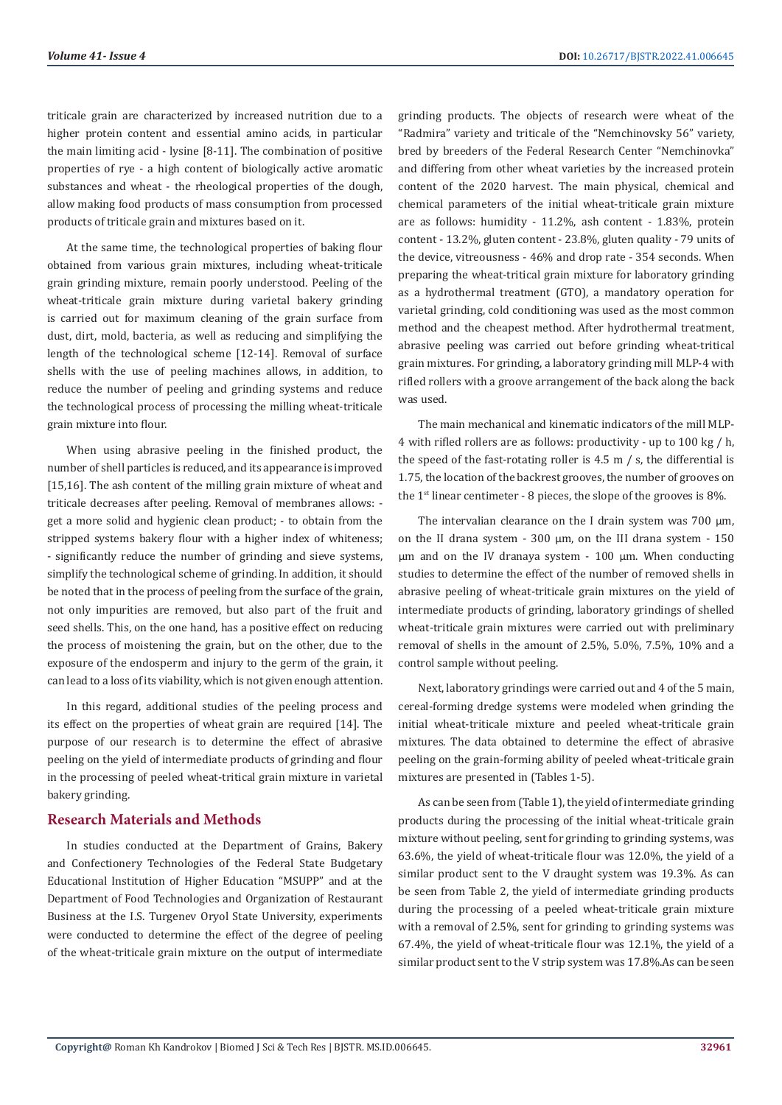triticale grain are characterized by increased nutrition due to a higher protein content and essential amino acids, in particular the main limiting acid - lysine [8-11]. The combination of positive properties of rye - a high content of biologically active aromatic substances and wheat - the rheological properties of the dough, allow making food products of mass consumption from processed products of triticale grain and mixtures based on it.

At the same time, the technological properties of baking flour obtained from various grain mixtures, including wheat-triticale grain grinding mixture, remain poorly understood. Peeling of the wheat-triticale grain mixture during varietal bakery grinding is carried out for maximum cleaning of the grain surface from dust, dirt, mold, bacteria, as well as reducing and simplifying the length of the technological scheme [12-14]. Removal of surface shells with the use of peeling machines allows, in addition, to reduce the number of peeling and grinding systems and reduce the technological process of processing the milling wheat-triticale grain mixture into flour.

When using abrasive peeling in the finished product, the number of shell particles is reduced, and its appearance is improved [15,16]. The ash content of the milling grain mixture of wheat and triticale decreases after peeling. Removal of membranes allows: get a more solid and hygienic clean product; - to obtain from the stripped systems bakery flour with a higher index of whiteness; - significantly reduce the number of grinding and sieve systems, simplify the technological scheme of grinding. In addition, it should be noted that in the process of peeling from the surface of the grain, not only impurities are removed, but also part of the fruit and seed shells. This, on the one hand, has a positive effect on reducing the process of moistening the grain, but on the other, due to the exposure of the endosperm and injury to the germ of the grain, it can lead to a loss of its viability, which is not given enough attention.

In this regard, additional studies of the peeling process and its effect on the properties of wheat grain are required [14]. The purpose of our research is to determine the effect of abrasive peeling on the yield of intermediate products of grinding and flour in the processing of peeled wheat-tritical grain mixture in varietal bakery grinding.

# **Research Materials and Methods**

In studies conducted at the Department of Grains, Bakery and Confectionery Technologies of the Federal State Budgetary Educational Institution of Higher Education "MSUPP" and at the Department of Food Technologies and Organization of Restaurant Business at the I.S. Turgenev Oryol State University, experiments were conducted to determine the effect of the degree of peeling of the wheat-triticale grain mixture on the output of intermediate

grinding products. The objects of research were wheat of the "Radmira" variety and triticale of the "Nemchinovsky 56" variety, bred by breeders of the Federal Research Center "Nemchinovka" and differing from other wheat varieties by the increased protein content of the 2020 harvest. The main physical, chemical and chemical parameters of the initial wheat-triticale grain mixture are as follows: humidity - 11.2%, ash content - 1.83%, protein content - 13.2%, gluten content - 23.8%, gluten quality - 79 units of the device, vitreousness - 46% and drop rate - 354 seconds. When preparing the wheat-tritical grain mixture for laboratory grinding as a hydrothermal treatment (GTO), a mandatory operation for varietal grinding, cold conditioning was used as the most common method and the cheapest method. After hydrothermal treatment, abrasive peeling was carried out before grinding wheat-tritical grain mixtures. For grinding, a laboratory grinding mill MLP-4 with rifled rollers with a groove arrangement of the back along the back was used.

The main mechanical and kinematic indicators of the mill MLP-4 with rifled rollers are as follows: productivity - up to 100 kg / h, the speed of the fast-rotating roller is 4.5 m / s, the differential is 1.75, the location of the backrest grooves, the number of grooves on the 1<sup>st</sup> linear centimeter - 8 pieces, the slope of the grooves is 8%.

The intervalian clearance on the I drain system was 700 μm, on the II drana system - 300 μm, on the III drana system - 150 μm and on the IV dranaya system - 100 μm. When conducting studies to determine the effect of the number of removed shells in abrasive peeling of wheat-triticale grain mixtures on the yield of intermediate products of grinding, laboratory grindings of shelled wheat-triticale grain mixtures were carried out with preliminary removal of shells in the amount of 2.5%, 5.0%, 7.5%, 10% and a control sample without peeling.

Next, laboratory grindings were carried out and 4 of the 5 main, cereal-forming dredge systems were modeled when grinding the initial wheat-triticale mixture and peeled wheat-triticale grain mixtures. The data obtained to determine the effect of abrasive peeling on the grain-forming ability of peeled wheat-triticale grain mixtures are presented in (Tables 1-5).

As can be seen from (Table 1), the yield of intermediate grinding products during the processing of the initial wheat-triticale grain mixture without peeling, sent for grinding to grinding systems, was 63.6%, the yield of wheat-triticale flour was 12.0%, the yield of a similar product sent to the V draught system was 19.3%. As can be seen from Table 2, the yield of intermediate grinding products during the processing of a peeled wheat-triticale grain mixture with a removal of 2.5%, sent for grinding to grinding systems was 67.4%, the yield of wheat-triticale flour was 12.1%, the yield of a similar product sent to the V strip system was 17.8%.As can be seen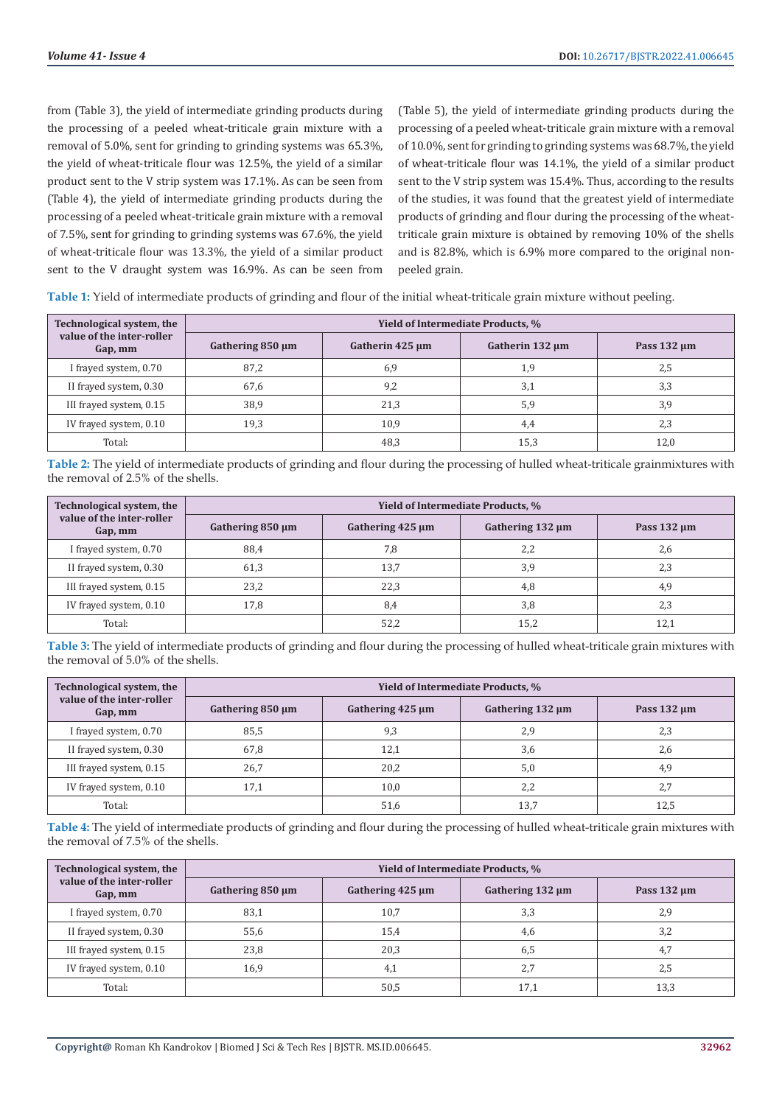from (Table 3), the yield of intermediate grinding products during the processing of a peeled wheat-triticale grain mixture with a removal of 5.0%, sent for grinding to grinding systems was 65.3%, the yield of wheat-triticale flour was 12.5%, the yield of a similar product sent to the V strip system was 17.1%. As can be seen from (Table 4), the yield of intermediate grinding products during the processing of a peeled wheat-triticale grain mixture with a removal of 7.5%, sent for grinding to grinding systems was 67.6%, the yield of wheat-triticale flour was 13.3%, the yield of a similar product sent to the V draught system was 16.9%. As can be seen from (Table 5), the yield of intermediate grinding products during the processing of a peeled wheat-triticale grain mixture with a removal of 10.0%, sent for grinding to grinding systems was 68.7%, the yield of wheat-triticale flour was 14.1%, the yield of a similar product sent to the V strip system was 15.4%. Thus, according to the results of the studies, it was found that the greatest yield of intermediate products of grinding and flour during the processing of the wheattriticale grain mixture is obtained by removing 10% of the shells and is 82.8%, which is 6.9% more compared to the original nonpeeled grain.

**Table 1:** Yield of intermediate products of grinding and flour of the initial wheat-triticale grain mixture without peeling.

| Technological system, the<br>value of the inter-roller<br>Gap, mm | Yield of Intermediate Products, % |                 |                      |                  |
|-------------------------------------------------------------------|-----------------------------------|-----------------|----------------------|------------------|
|                                                                   | Gathering $850 \mu m$             | Gatherin 425 µm | Gatherin $132 \mu m$ | Pass $132 \mu m$ |
| I frayed system, 0.70                                             | 87,2                              | 6,9             | 1,9                  | 2,5              |
| II frayed system, 0.30                                            | 67,6                              | 9,2             | 3,1                  | 3,3              |
| III frayed system, 0.15                                           | 38,9                              | 21,3            | 5,9                  | 3,9              |
| IV frayed system, 0.10                                            | 19,3                              | 10,9            | 4,4                  | 2,3              |
| Total:                                                            |                                   | 48,3            | 15,3                 | 12,0             |

**Table 2:** The yield of intermediate products of grinding and flour during the processing of hulled wheat-triticale grainmixtures with the removal of 2.5% of the shells.

| Technological system, the<br>value of the inter-roller<br>Gap, mm | Yield of Intermediate Products, % |                       |                       |                  |
|-------------------------------------------------------------------|-----------------------------------|-----------------------|-----------------------|------------------|
|                                                                   | Gathering $850 \mu m$             | Gathering $425 \mu m$ | Gathering $132 \mu m$ | Pass $132 \mu m$ |
| I frayed system, 0.70                                             | 88,4                              | 7.8                   | 2,2                   | 2,6              |
| II frayed system, 0.30                                            | 61,3                              | 13.7                  | 3,9                   | 2.3              |
| III frayed system, 0.15                                           | 23,2                              | 22,3                  | 4,8                   | 4,9              |
| IV frayed system, 0.10                                            | 17,8                              | 8.4                   | 3,8                   | 2,3              |
| Total:                                                            |                                   | 52.2                  | 15,2                  | 12.1             |

**Table 3:** The yield of intermediate products of grinding and flour during the processing of hulled wheat-triticale grain mixtures with the removal of 5.0% of the shells.

| Technological system, the<br>value of the inter-roller<br>Gap, mm | Yield of Intermediate Products, % |                       |                       |                  |
|-------------------------------------------------------------------|-----------------------------------|-----------------------|-----------------------|------------------|
|                                                                   | Gathering $850 \mu m$             | Gathering $425 \mu m$ | Gathering $132 \mu m$ | Pass $132 \mu m$ |
| I frayed system, 0.70                                             | 85,5                              | 9,3                   | 2,9                   | 2,3              |
| II frayed system, 0.30                                            | 67,8                              | 12,1                  | 3,6                   | 2.6              |
| III frayed system, 0.15                                           | 26,7                              | 20,2                  | 5,0                   | 4,9              |
| IV frayed system, 0.10                                            | 17,1                              | 10.0                  | 2,2                   | 2,7              |
| Total:                                                            |                                   | 51,6                  | 13,7                  | 12.5             |

**Table 4:** The yield of intermediate products of grinding and flour during the processing of hulled wheat-triticale grain mixtures with the removal of 7.5% of the shells.

| Technological system, the<br>value of the inter-roller<br>Gap, mm | Yield of Intermediate Products, % |                       |                       |                  |
|-------------------------------------------------------------------|-----------------------------------|-----------------------|-----------------------|------------------|
|                                                                   | Gathering $850 \mu m$             | Gathering $425 \mu m$ | Gathering $132 \mu m$ | Pass $132 \mu m$ |
| I frayed system, 0.70                                             | 83,1                              | 10.7                  | 3,3                   | 2.9              |
| II frayed system, 0.30                                            | 55,6                              | 15.4                  | 4,6                   | 3.2              |
| III frayed system, 0.15                                           | 23,8                              | 20.3                  | 6,5                   | 4.7              |
| IV frayed system, 0.10                                            | 16,9                              | 4,1                   | 2,7                   | 2,5              |
| Total:                                                            |                                   | 50,5                  | 17,1                  | 13,3             |